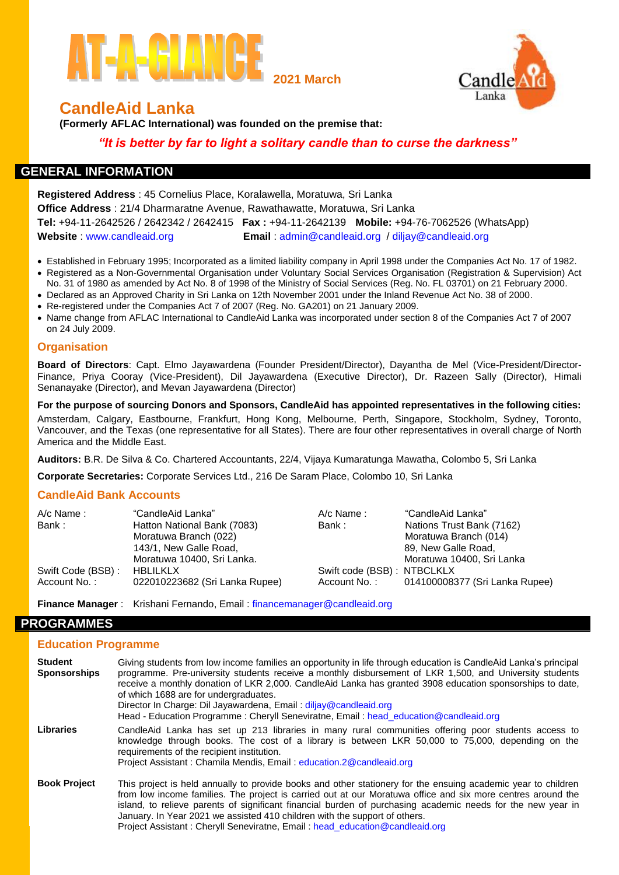



# **CandleAid Lanka**

**(Formerly AFLAC International) was founded on the premise that:**

*"It is better by far to light a solitary candle than to curse the darkness"*

## **GENERAL INFORMATION**

**Registered Address** : 45 Cornelius Place, Koralawella, Moratuwa, Sri Lanka **Office Address** : 21/4 Dharmaratne Avenue, Rawathawatte, Moratuwa, Sri Lanka **Tel:** +94-11-2642526 / 2642342 / 2642415 **Fax :** +94-11-2642139 **Mobile:** +94-76-7062526 (WhatsApp) **Website** : [www.candleaid.org](http://www.candleaid.org/) **Email** : [admin@candleaid.org](mailto:admin@candleaid.org) / diljay@candleaid.org

- Established in February 1995; Incorporated as a limited liability company in April 1998 under the Companies Act No. 17 of 1982. Registered as a Non-Governmental Organisation under Voluntary Social Services Organisation (Registration & Supervision) Act
- No. 31 of 1980 as amended by Act No. 8 of 1998 of the Ministry of Social Services (Reg. No. FL 03701) on 21 February 2000.
- Declared as an Approved Charity in Sri Lanka on 12th November 2001 under the Inland Revenue Act No. 38 of 2000.
- Re-registered under the Companies Act 7 of 2007 (Reg. No. GA201) on 21 January 2009.
- Name change from AFLAC International to CandleAid Lanka was incorporated under section 8 of the Companies Act 7 of 2007 on 24 July 2009.

## **Organisation**

**Board of Directors**: Capt. Elmo Jayawardena (Founder President/Director), Dayantha de Mel (Vice-President/Director-Finance, Priya Cooray (Vice-President), Dil Jayawardena (Executive Director), Dr. Razeen Sally (Director), Himali Senanayake (Director), and Mevan Jayawardena (Director)

**For the purpose of sourcing Donors and Sponsors, CandleAid has appointed representatives in the following cities:** Amsterdam, Calgary, Eastbourne, Frankfurt, Hong Kong, Melbourne, Perth, Singapore, Stockholm, Sydney, Toronto, Vancouver, and the Texas (one representative for all States). There are four other representatives in overall charge of North America and the Middle East.

**Auditors:** B.R. De Silva & Co. Chartered Accountants, 22/4, Vijaya Kumaratunga Mawatha, Colombo 5, Sri Lanka

**Corporate Secretaries:** Corporate Services Ltd., 216 De Saram Place, Colombo 10, Sri Lanka

### **CandleAid Bank Accounts**

| $A/c$ Name:       | "CandleAid Lanka"              | $A/c$ Name :               | "CandleAid Lanka"                           |
|-------------------|--------------------------------|----------------------------|---------------------------------------------|
| Bank :            | Hatton National Bank (7083)    | Bank :                     | Nations Trust Bank (7162)                   |
|                   | Moratuwa Branch (022)          |                            | Moratuwa Branch (014)                       |
|                   | 143/1, New Galle Road,         |                            | 89, New Galle Road,                         |
|                   | Moratuwa 10400, Sri Lanka.     |                            | Moratuwa 10400, Sri Lanka                   |
| Swift Code (BSB): | HBLILKLX                       | Swift code (BSB): NTBCLKLX |                                             |
| Account No.:      | 022010223682 (Sri Lanka Rupee) |                            | Account No.: 014100008377 (Sri Lanka Rupee) |

**Finance Manager** : Krishani Fernando, Email : financemanager@candleaid.org

## **PROGRAMMES**

### **Education Programme**

| <b>Student</b><br><b>Sponsorships</b> | Giving students from low income families an opportunity in life through education is CandleAid Lanka's principal<br>programme. Pre-university students receive a monthly disbursement of LKR 1,500, and University students<br>receive a monthly donation of LKR 2,000. CandleAid Lanka has granted 3908 education sponsorships to date,<br>of which 1688 are for undergraduates.<br>Director In Charge: Dil Jayawardena, Email: diljay@candleaid.org<br>Head - Education Programme: Cheryll Seneviratne, Email: head_education@candleaid.org |
|---------------------------------------|-----------------------------------------------------------------------------------------------------------------------------------------------------------------------------------------------------------------------------------------------------------------------------------------------------------------------------------------------------------------------------------------------------------------------------------------------------------------------------------------------------------------------------------------------|
| Libraries                             | CandleAid Lanka has set up 213 libraries in many rural communities offering poor students access to<br>knowledge through books. The cost of a library is between LKR 50,000 to 75,000, depending on the<br>requirements of the recipient institution.<br>Project Assistant: Chamila Mendis, Email: education.2@candleaid.org                                                                                                                                                                                                                  |
| <b>Book Project</b>                   | This project is held annually to provide books and other stationery for the ensuing academic year to children<br>from low income families. The project is carried out at our Moratuwa office and six more centres around the<br>island, to relieve parents of significant financial burden of purchasing academic needs for the new year in<br>January. In Year 2021 we assisted 410 children with the support of others.<br>Project Assistant: Cheryll Seneviratne, Email: head_education@candleaid.org                                      |